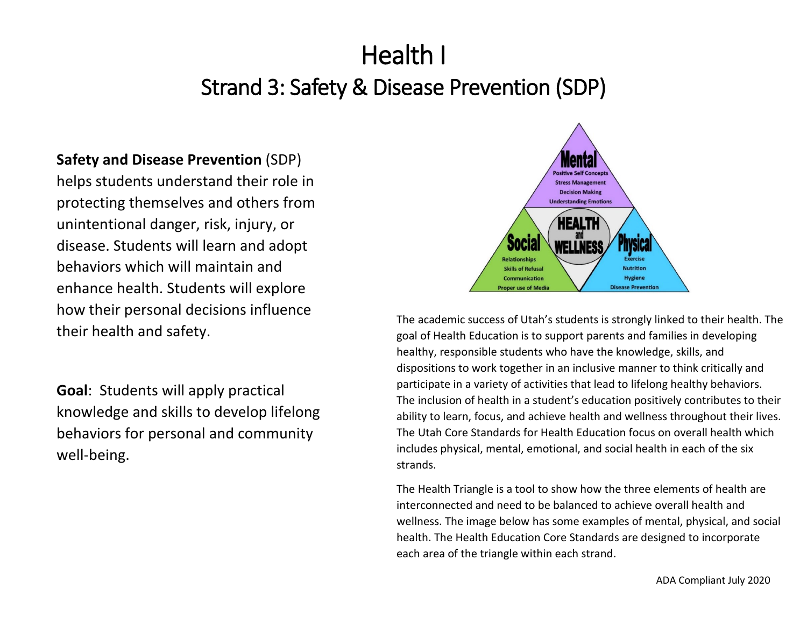# Health I

# Strand 3: Safety & Disease Prevention (SDP)

# **Safety and Disease Prevention** (SDP)

helps students understand their role in protecting themselves and others from unintentional danger, risk, injury, or disease. Students will learn and adopt behaviors which will maintain and enhance health. Students will explore how their personal decisions influence their health and safety.

**Goal**: Students will apply practical knowledge and skills to develop lifelong behaviors for personal and community well-being.



The academic success of Utah's students is strongly linked to their health. The goal of Health Education is to support parents and families in developing healthy, responsible students who have the knowledge, skills, and dispositions to work together in an inclusive manner to think critically and participate in a variety of activities that lead to lifelong healthy behaviors. The inclusion of health in a student's education positively contributes to their ability to learn, focus, and achieve health and wellness throughout their lives. The Utah Core Standards for Health Education focus on overall health which includes physical, mental, emotional, and social health in each of the six strands.

The Health Triangle is a tool to show how the three elements of health are interconnected and need to be balanced to achieve overall health and wellness. The image below has some examples of mental, physical, and social health. The Health Education Core Standards are designed to incorporate each area of the triangle within each strand.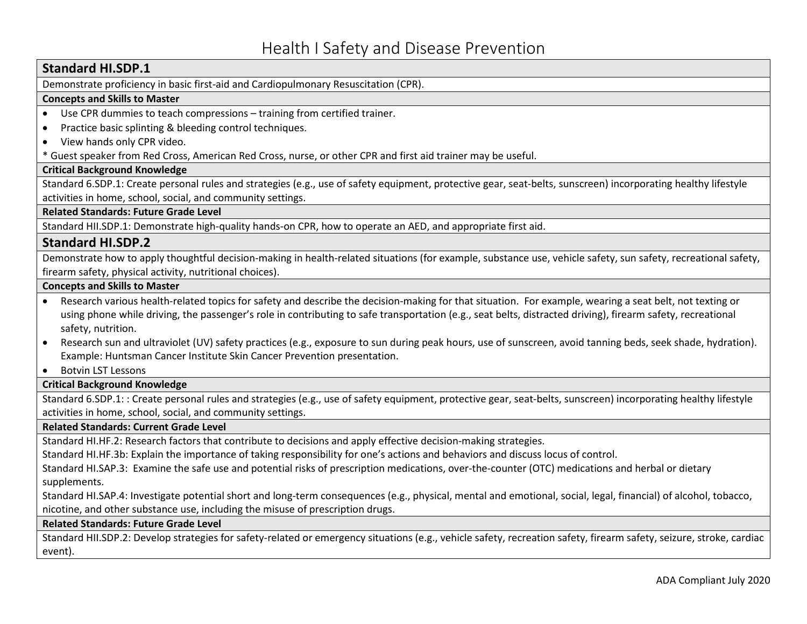Demonstrate proficiency in basic first-aid and Cardiopulmonary Resuscitation (CPR).

#### **Concepts and Skills to Master**

- Use CPR dummies to teach compressions training from certified trainer.
- Practice basic splinting & bleeding control techniques.
- View hands only CPR video.

\* Guest speaker from Red Cross, American Red Cross, nurse, or other CPR and first aid trainer may be useful.

#### **Critical Background Knowledge**

Standard 6.SDP.1: Create personal rules and strategies (e.g., use of safety equipment, protective gear, seat-belts, sunscreen) incorporating healthy lifestyle activities in home, school, social, and community settings.

**Related Standards: Future Grade Level** 

Standard HII.SDP.1: Demonstrate high-quality hands-on CPR, how to operate an AED, and appropriate first aid.

### **Standard HI.SDP.2**

Demonstrate how to apply thoughtful decision-making in health-related situations (for example, substance use, vehicle safety, sun safety, recreational safety, firearm safety, physical activity, nutritional choices).

#### **Concepts and Skills to Master**

- Research various health-related topics for safety and describe the decision-making for that situation. For example, wearing a seat belt, not texting or using phone while driving, the passenger's role in contributing to safe transportation (e.g., seat belts, distracted driving), firearm safety, recreational safety, nutrition.
- Research sun and ultraviolet (UV) safety practices (e.g., exposure to sun during peak hours, use of sunscreen, avoid tanning beds, seek shade, hydration). Example: Huntsman Cancer Institute Skin Cancer Prevention presentation.
- Botvin LST Lessons

#### **Critical Background Knowledge**

Standard 6.SDP.1: : Create personal rules and strategies (e.g., use of safety equipment, protective gear, seat-belts, sunscreen) incorporating healthy lifestyle activities in home, school, social, and community settings.

#### **Related Standards: Current Grade Level**

Standard HI.HF.2: Research factors that contribute to decisions and apply effective decision-making strategies.

Standard HI.HF.3b: Explain the importance of taking responsibility for one's actions and behaviors and discuss locus of control.

Standard HI.SAP.3: Examine the safe use and potential risks of prescription medications, over-the-counter (OTC) medications and herbal or dietary supplements.

Standard HI.SAP.4: Investigate potential short and long-term consequences (e.g., physical, mental and emotional, social, legal, financial) of alcohol, tobacco, nicotine, and other substance use, including the misuse of prescription drugs.

#### **Related Standards: Future Grade Level**

Standard HII.SDP.2: Develop strategies for safety-related or emergency situations (e.g., vehicle safety, recreation safety, firearm safety, seizure, stroke, cardiac event).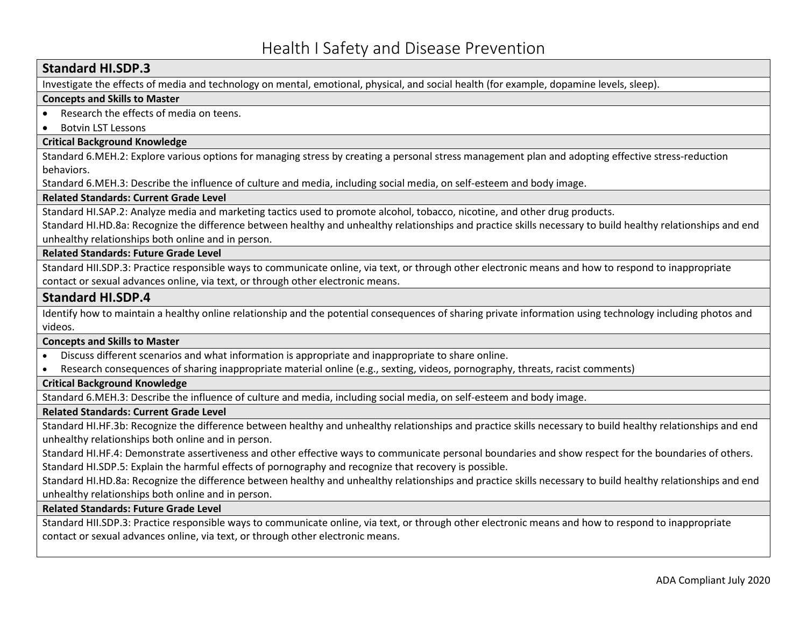Investigate the effects of media and technology on mental, emotional, physical, and social health (for example, dopamine levels, sleep).

#### **Concepts and Skills to Master**

- Research the effects of media on teens.
- Botvin LST Lessons

#### **Critical Background Knowledge**

Standard 6.MEH.2: Explore various options for managing stress by creating a personal stress management plan and adopting effective stress-reduction behaviors.

Standard 6.MEH.3: Describe the influence of culture and media, including social media, on self-esteem and body image.

#### **Related Standards: Current Grade Level**

Standard HI.SAP.2: Analyze media and marketing tactics used to promote alcohol, tobacco, nicotine, and other drug products.

Standard HI.HD.8a: Recognize the difference between healthy and unhealthy relationships and practice skills necessary to build healthy relationships and end unhealthy relationships both online and in person.

#### **Related Standards: Future Grade Level**

Standard HII.SDP.3: Practice responsible ways to communicate online, via text, or through other electronic means and how to respond to inappropriate contact or sexual advances online, via text, or through other electronic means.

#### **Standard HI.SDP.4**

Identify how to maintain a healthy online relationship and the potential consequences of sharing private information using technology including photos and videos.

#### **Concepts and Skills to Master**

- Discuss different scenarios and what information is appropriate and inappropriate to share online.
- Research consequences of sharing inappropriate material online (e.g., sexting, videos, pornography, threats, racist comments)

#### **Critical Background Knowledge**

Standard 6.MEH.3: Describe the influence of culture and media, including social media, on self-esteem and body image.

#### **Related Standards: Current Grade Level**

Standard HI.HF.3b: Recognize the difference between healthy and unhealthy relationships and practice skills necessary to build healthy relationships and end unhealthy relationships both online and in person.

Standard HI.HF.4: Demonstrate assertiveness and other effective ways to communicate personal boundaries and show respect for the boundaries of others. Standard HI.SDP.5: Explain the harmful effects of pornography and recognize that recovery is possible.

Standard HI.HD.8a: Recognize the difference between healthy and unhealthy relationships and practice skills necessary to build healthy relationships and end unhealthy relationships both online and in person.

#### **Related Standards: Future Grade Level**

Standard HII.SDP.3: Practice responsible ways to communicate online, via text, or through other electronic means and how to respond to inappropriate contact or sexual advances online, via text, or through other electronic means.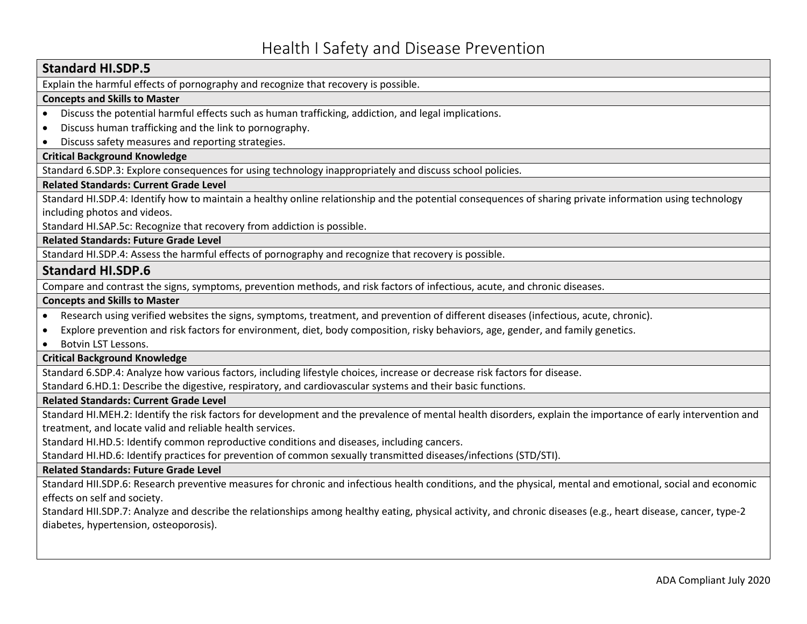Explain the harmful effects of pornography and recognize that recovery is possible.

#### **Concepts and Skills to Master**

- Discuss the potential harmful effects such as human trafficking, addiction, and legal implications.
- Discuss human trafficking and the link to pornography.
- Discuss safety measures and reporting strategies.

#### **Critical Background Knowledge**

Standard 6.SDP.3: Explore consequences for using technology inappropriately and discuss school policies.

#### **Related Standards: Current Grade Level**

Standard HI.SDP.4: Identify how to maintain a healthy online relationship and the potential consequences of sharing private information using technology including photos and videos.

Standard HI.SAP.5c: Recognize that recovery from addiction is possible.

**Related Standards: Future Grade Level**

Standard HI.SDP.4: Assess the harmful effects of pornography and recognize that recovery is possible.

#### **Standard HI.SDP.6**

Compare and contrast the signs, symptoms, prevention methods, and risk factors of infectious, acute, and chronic diseases.

#### **Concepts and Skills to Master**

• Research using verified websites the signs, symptoms, treatment, and prevention of different diseases (infectious, acute, chronic).

- Explore prevention and risk factors for environment, diet, body composition, risky behaviors, age, gender, and family genetics.
- Botvin LST Lessons.

#### **Critical Background Knowledge**

Standard 6.SDP.4: Analyze how various factors, including lifestyle choices, increase or decrease risk factors for disease.

Standard 6.HD.1: Describe the digestive, respiratory, and cardiovascular systems and their basic functions.

#### **Related Standards: Current Grade Level**

Standard HI.MEH.2: Identify the risk factors for development and the prevalence of mental health disorders, explain the importance of early intervention and treatment, and locate valid and reliable health services.

Standard HI.HD.5: Identify common reproductive conditions and diseases, including cancers.

Standard HI.HD.6: Identify practices for prevention of common sexually transmitted diseases/infections (STD/STI).

#### **Related Standards: Future Grade Level**

Standard HII.SDP.6: Research preventive measures for chronic and infectious health conditions, and the physical, mental and emotional, social and economic effects on self and society.

Standard HII.SDP.7: Analyze and describe the relationships among healthy eating, physical activity, and chronic diseases (e.g., heart disease, cancer, type-2 diabetes, hypertension, osteoporosis).